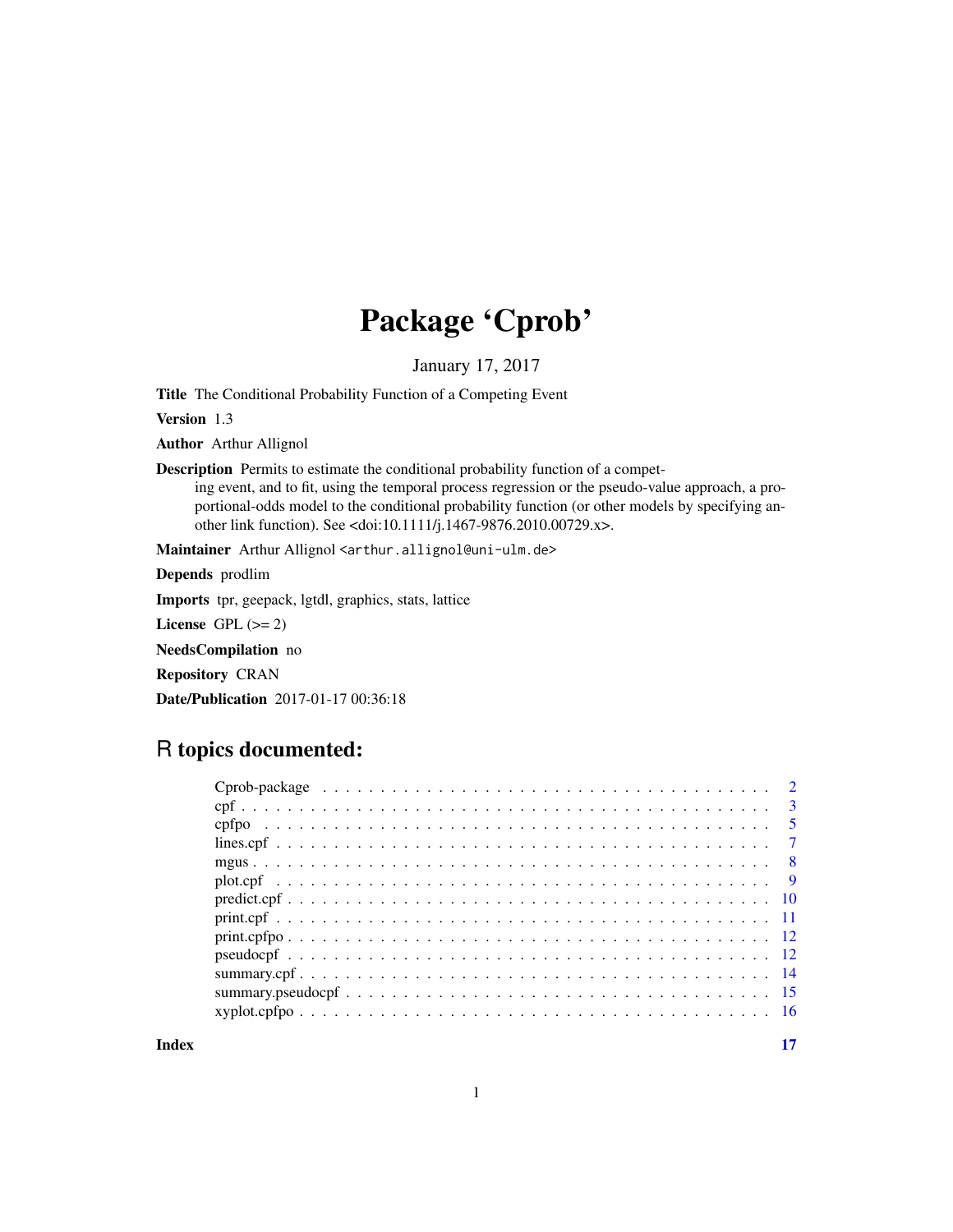## Package 'Cprob'

January 17, 2017

<span id="page-0-0"></span>Title The Conditional Probability Function of a Competing Event

Version 1.3

Author Arthur Allignol

Description Permits to estimate the conditional probability function of a compet-

ing event, and to fit, using the temporal process regression or the pseudo-value approach, a proportional-odds model to the conditional probability function (or other models by specifying another link function). See <doi:10.1111/j.1467-9876.2010.00729.x>.

Maintainer Arthur Allignol <arthur.allignol@uni-ulm.de>

Depends prodlim Imports tpr, geepack, lgtdl, graphics, stats, lattice License GPL  $(>= 2)$ NeedsCompilation no

Repository CRAN

Date/Publication 2017-01-17 00:36:18

## R topics documented:

| $\overline{\mathbf{3}}$ |
|-------------------------|
| $\sqrt{5}$              |
| $\overline{7}$          |
| - 8                     |
|                         |
|                         |
|                         |
|                         |
|                         |
|                         |
|                         |
|                         |
|                         |

**Index** [17](#page-16-0)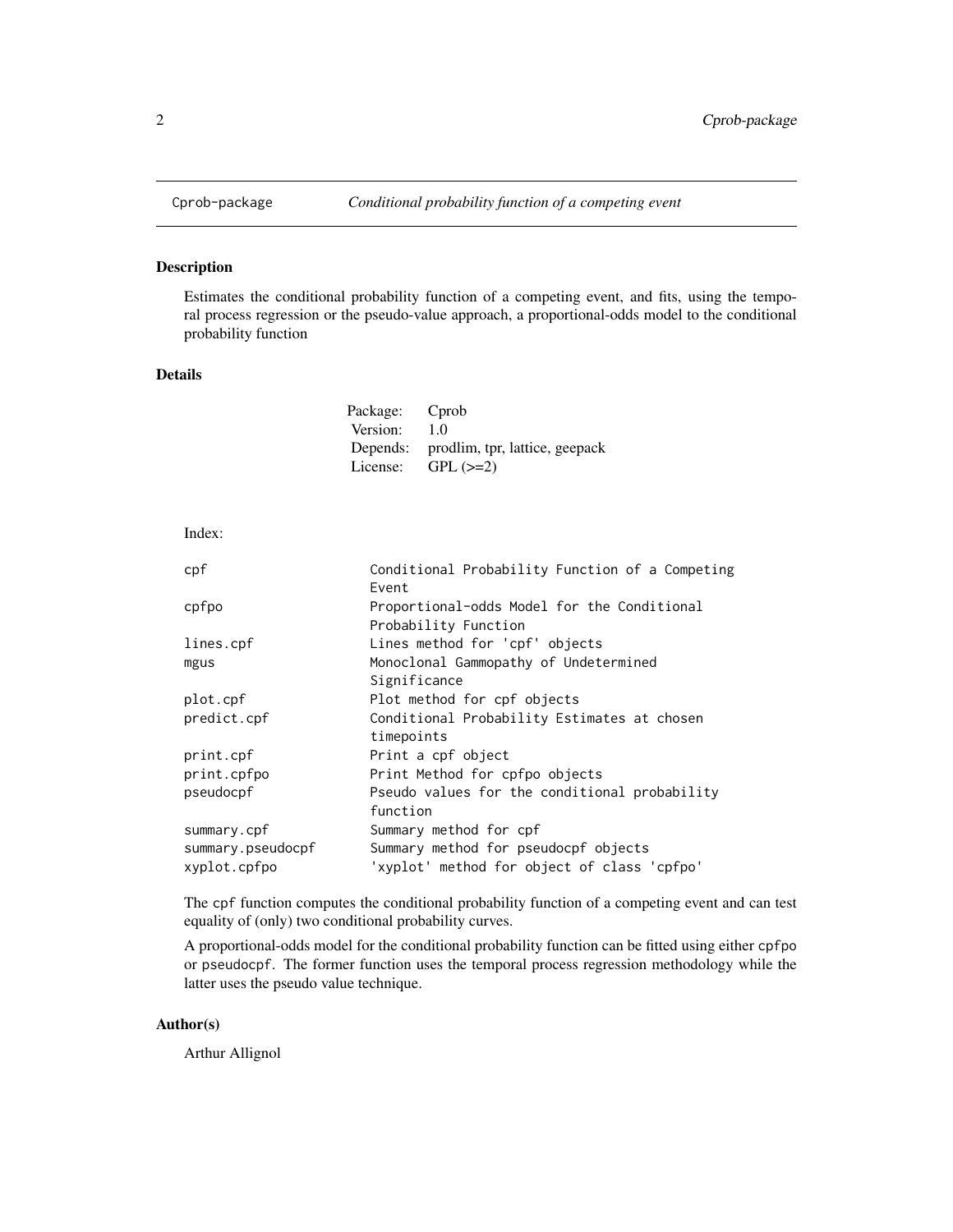<span id="page-1-0"></span>

Estimates the conditional probability function of a competing event, and fits, using the temporal process regression or the pseudo-value approach, a proportional-odds model to the conditional probability function

#### Details

| Package: | Cprob                          |
|----------|--------------------------------|
| Version: | 1.0                            |
| Depends: | prodlim, tpr, lattice, geepack |
| License: | $GPL (=2)$                     |
|          |                                |

#### Index:

| cpf                               | Conditional Probability Function of a Competing<br>Event                            |
|-----------------------------------|-------------------------------------------------------------------------------------|
| cpfpo                             | Proportional-odds Model for the Conditional                                         |
| lines.cpf                         | Probability Function<br>Lines method for 'cpf' objects                              |
| mgus                              | Monoclonal Gammopathy of Undetermined<br>Significance                               |
| plot.cpf                          | Plot method for cpf objects                                                         |
| predict.cpf                       | Conditional Probability Estimates at chosen<br>timepoints                           |
| print.cpf                         | Print a cpf object                                                                  |
| print.cpfpo                       | Print Method for cpfpo objects                                                      |
| pseudocpf                         | Pseudo values for the conditional probability<br>function                           |
| summary.cpf                       | Summary method for cpf                                                              |
| summary.pseudocpf<br>xyplot.cpfpo | Summary method for pseudocpf objects<br>'xyplot' method for object of class 'cpfpo' |
|                                   |                                                                                     |

The cpf function computes the conditional probability function of a competing event and can test equality of (only) two conditional probability curves.

A proportional-odds model for the conditional probability function can be fitted using either cpfpo or pseudocpf. The former function uses the temporal process regression methodology while the latter uses the pseudo value technique.

### Author(s)

Arthur Allignol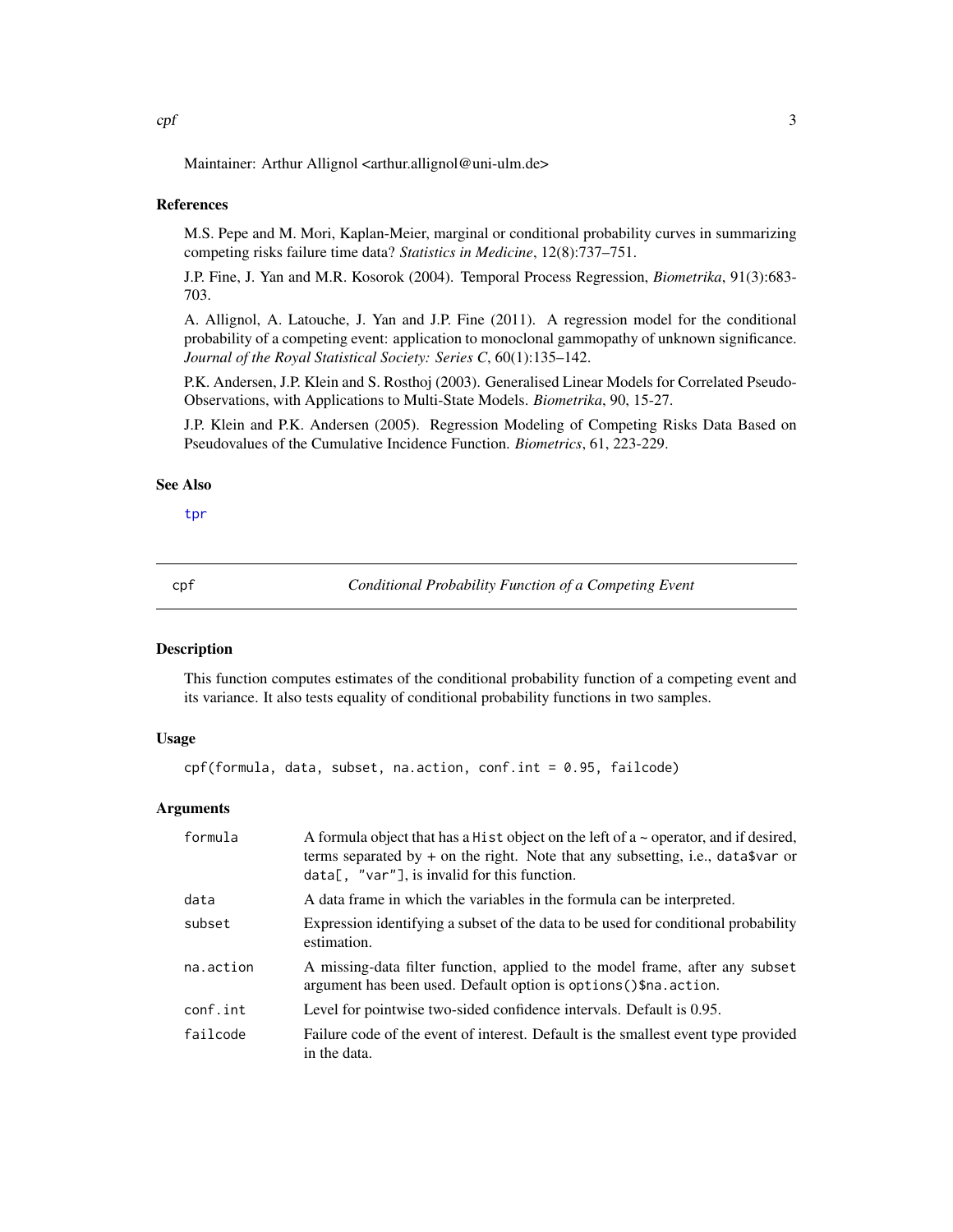<span id="page-2-0"></span>Maintainer: Arthur Allignol <arthur.allignol@uni-ulm.de>

#### References

M.S. Pepe and M. Mori, Kaplan-Meier, marginal or conditional probability curves in summarizing competing risks failure time data? *Statistics in Medicine*, 12(8):737–751.

J.P. Fine, J. Yan and M.R. Kosorok (2004). Temporal Process Regression, *Biometrika*, 91(3):683- 703.

A. Allignol, A. Latouche, J. Yan and J.P. Fine (2011). A regression model for the conditional probability of a competing event: application to monoclonal gammopathy of unknown significance. *Journal of the Royal Statistical Society: Series C*, 60(1):135–142.

P.K. Andersen, J.P. Klein and S. Rosthoj (2003). Generalised Linear Models for Correlated Pseudo-Observations, with Applications to Multi-State Models. *Biometrika*, 90, 15-27.

J.P. Klein and P.K. Andersen (2005). Regression Modeling of Competing Risks Data Based on Pseudovalues of the Cumulative Incidence Function. *Biometrics*, 61, 223-229.

#### See Also

[tpr](#page-0-0)

<span id="page-2-1"></span>cpf *Conditional Probability Function of a Competing Event*

## **Description**

This function computes estimates of the conditional probability function of a competing event and its variance. It also tests equality of conditional probability functions in two samples.

#### Usage

cpf(formula, data, subset, na.action, conf.int = 0.95, failcode)

#### Arguments

| formula   | A formula object that has a Hist object on the left of $a \sim$ operator, and if desired,<br>terms separated by $+$ on the right. Note that any subsetting, i.e., data\$var or<br>$data[,$ "var"], is invalid for this function. |
|-----------|----------------------------------------------------------------------------------------------------------------------------------------------------------------------------------------------------------------------------------|
| data      | A data frame in which the variables in the formula can be interpreted.                                                                                                                                                           |
| subset    | Expression identifying a subset of the data to be used for conditional probability<br>estimation.                                                                                                                                |
| na.action | A missing-data filter function, applied to the model frame, after any subset<br>argument has been used. Default option is options () \$na. action.                                                                               |
| conf.int  | Level for pointwise two-sided confidence intervals. Default is 0.95.                                                                                                                                                             |
| failcode  | Failure code of the event of interest. Default is the smallest event type provided<br>in the data.                                                                                                                               |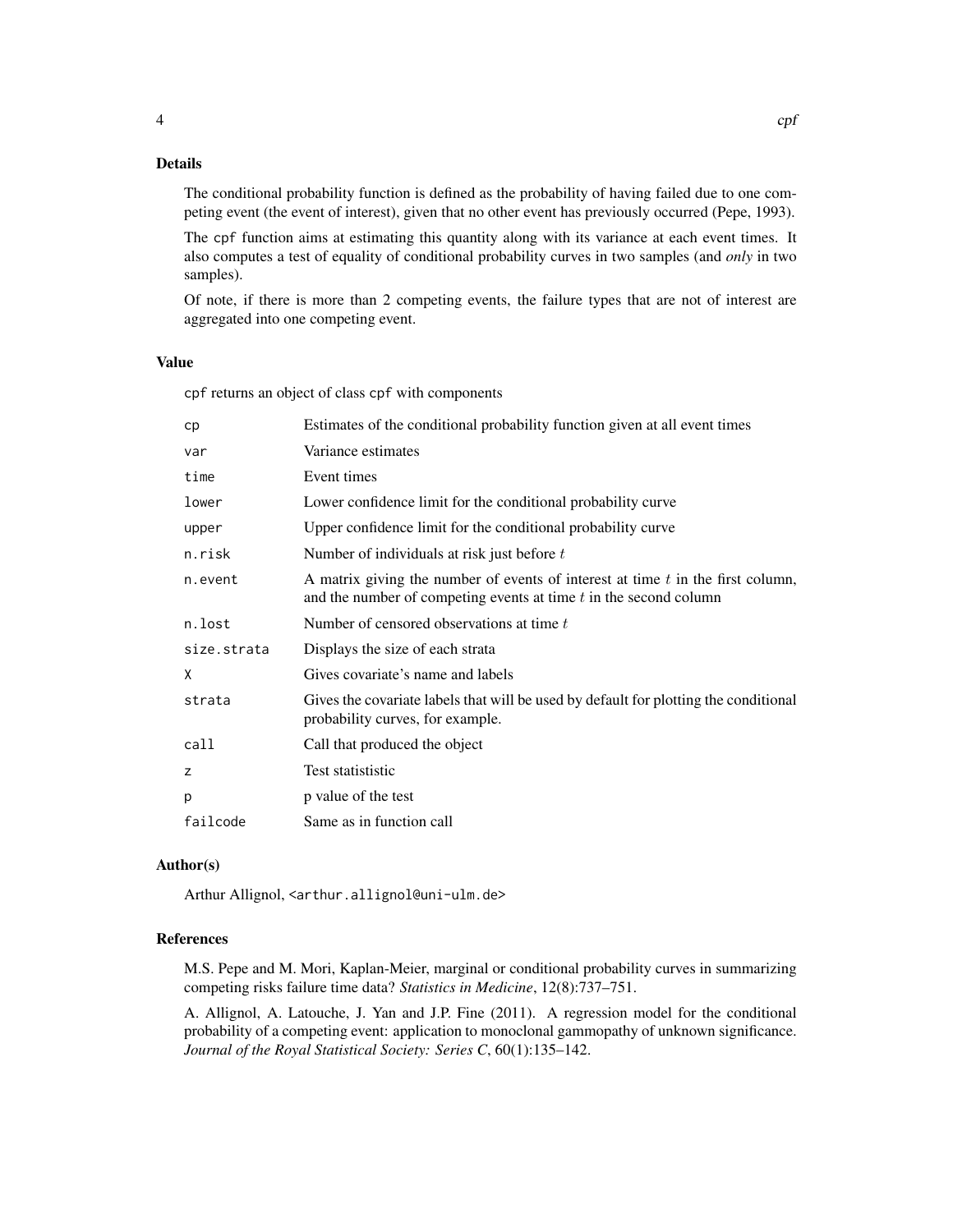## Details

The conditional probability function is defined as the probability of having failed due to one competing event (the event of interest), given that no other event has previously occurred (Pepe, 1993).

The cpf function aims at estimating this quantity along with its variance at each event times. It also computes a test of equality of conditional probability curves in two samples (and *only* in two samples).

Of note, if there is more than 2 competing events, the failure types that are not of interest are aggregated into one competing event.

### Value

cpf returns an object of class cpf with components

| cp          | Estimates of the conditional probability function given at all event times                                                                               |
|-------------|----------------------------------------------------------------------------------------------------------------------------------------------------------|
| var         | Variance estimates                                                                                                                                       |
| time        | Event times                                                                                                                                              |
| lower       | Lower confidence limit for the conditional probability curve                                                                                             |
| upper       | Upper confidence limit for the conditional probability curve                                                                                             |
| n.risk      | Number of individuals at risk just before t                                                                                                              |
| n.event     | A matrix giving the number of events of interest at time $t$ in the first column,<br>and the number of competing events at time $t$ in the second column |
| n.lost      | Number of censored observations at time t                                                                                                                |
| size.strata | Displays the size of each strata                                                                                                                         |
| X           | Gives covariate's name and labels                                                                                                                        |
| strata      | Gives the covariate labels that will be used by default for plotting the conditional<br>probability curves, for example.                                 |
| call        | Call that produced the object                                                                                                                            |
| z           | Test statististic                                                                                                                                        |
| p           | p value of the test                                                                                                                                      |
| failcode    | Same as in function call                                                                                                                                 |

#### Author(s)

Arthur Allignol, <arthur.allignol@uni-ulm.de>

#### References

M.S. Pepe and M. Mori, Kaplan-Meier, marginal or conditional probability curves in summarizing competing risks failure time data? *Statistics in Medicine*, 12(8):737–751.

A. Allignol, A. Latouche, J. Yan and J.P. Fine (2011). A regression model for the conditional probability of a competing event: application to monoclonal gammopathy of unknown significance. *Journal of the Royal Statistical Society: Series C*, 60(1):135–142.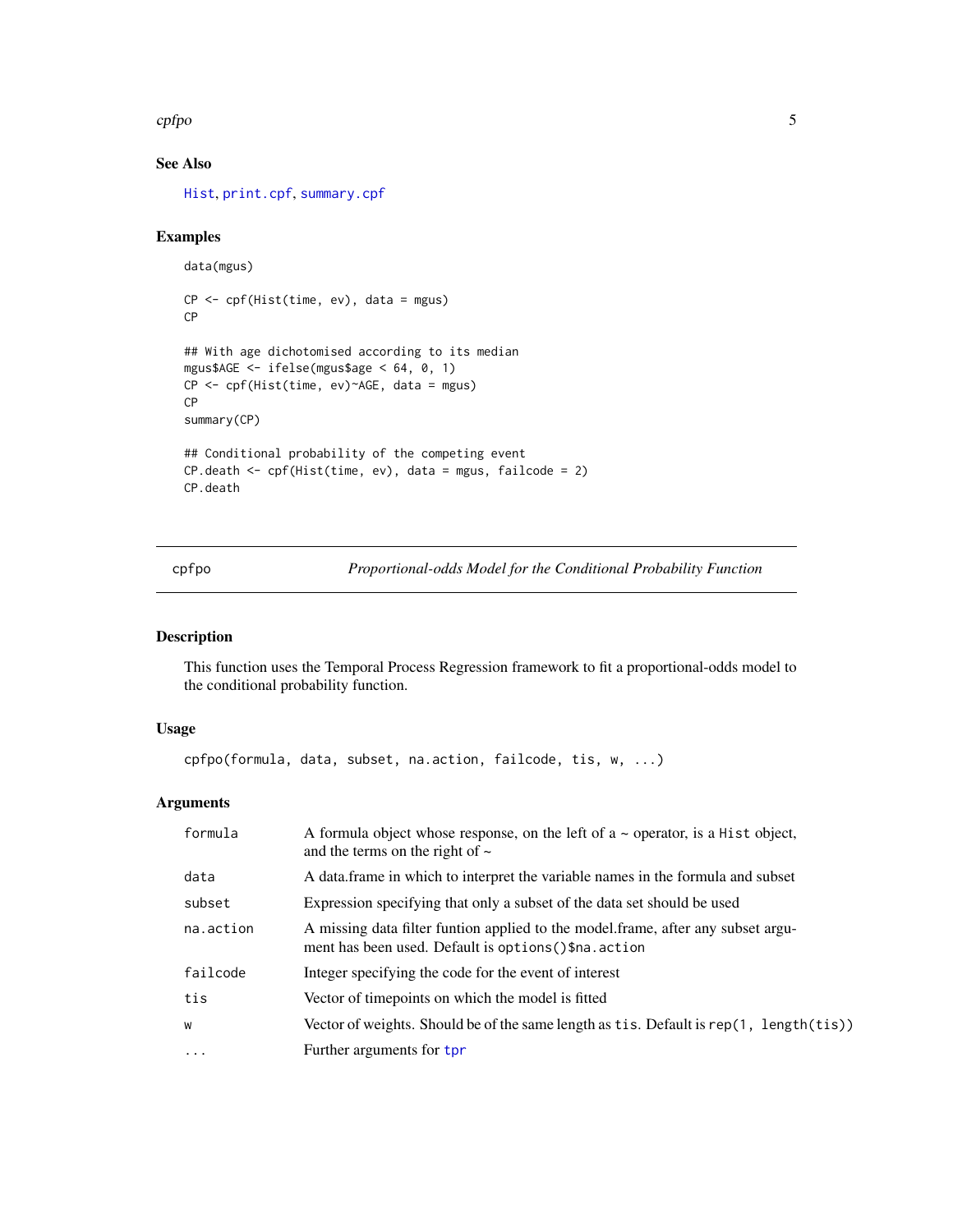#### <span id="page-4-0"></span>cpfpo 5

## See Also

[Hist](#page-0-0), [print.cpf](#page-10-1), [summary.cpf](#page-13-1)

### Examples

```
data(mgus)
CP <- cpf(Hist(time, ev), data = mgus)
CP
## With age dichotomised according to its median
mgus$AGE <- ifelse(mgus$age < 64, 0, 1)
CP <- cpf(Hist(time, ev)~AGE, data = mgus)
CP
summary(CP)
## Conditional probability of the competing event
CP.death <- cpf(Hist(time, ev), data = mgus, failcode = 2)
CP.death
```
<span id="page-4-1"></span>cpfpo *Proportional-odds Model for the Conditional Probability Function*

## Description

This function uses the Temporal Process Regression framework to fit a proportional-odds model to the conditional probability function.

## Usage

```
cpfpo(formula, data, subset, na.action, failcode, tis, w, ...)
```
#### Arguments

| formula   | A formula object whose response, on the left of $a \sim$ operator, is a Hist object,<br>and the terms on the right of $\sim$               |
|-----------|--------------------------------------------------------------------------------------------------------------------------------------------|
| data      | A data.frame in which to interpret the variable names in the formula and subset                                                            |
| subset    | Expression specifying that only a subset of the data set should be used                                                                    |
| na.action | A missing data filter funtion applied to the model frame, after any subset argu-<br>ment has been used. Default is options () \$na. action |
| failcode  | Integer specifying the code for the event of interest                                                                                      |
| tis       | Vector of timepoints on which the model is fitted                                                                                          |
| W         | Vector of weights. Should be of the same length as $t$ is. Default is rep(1, length( $t$ is))                                              |
| $\cdots$  | Further arguments for tpr                                                                                                                  |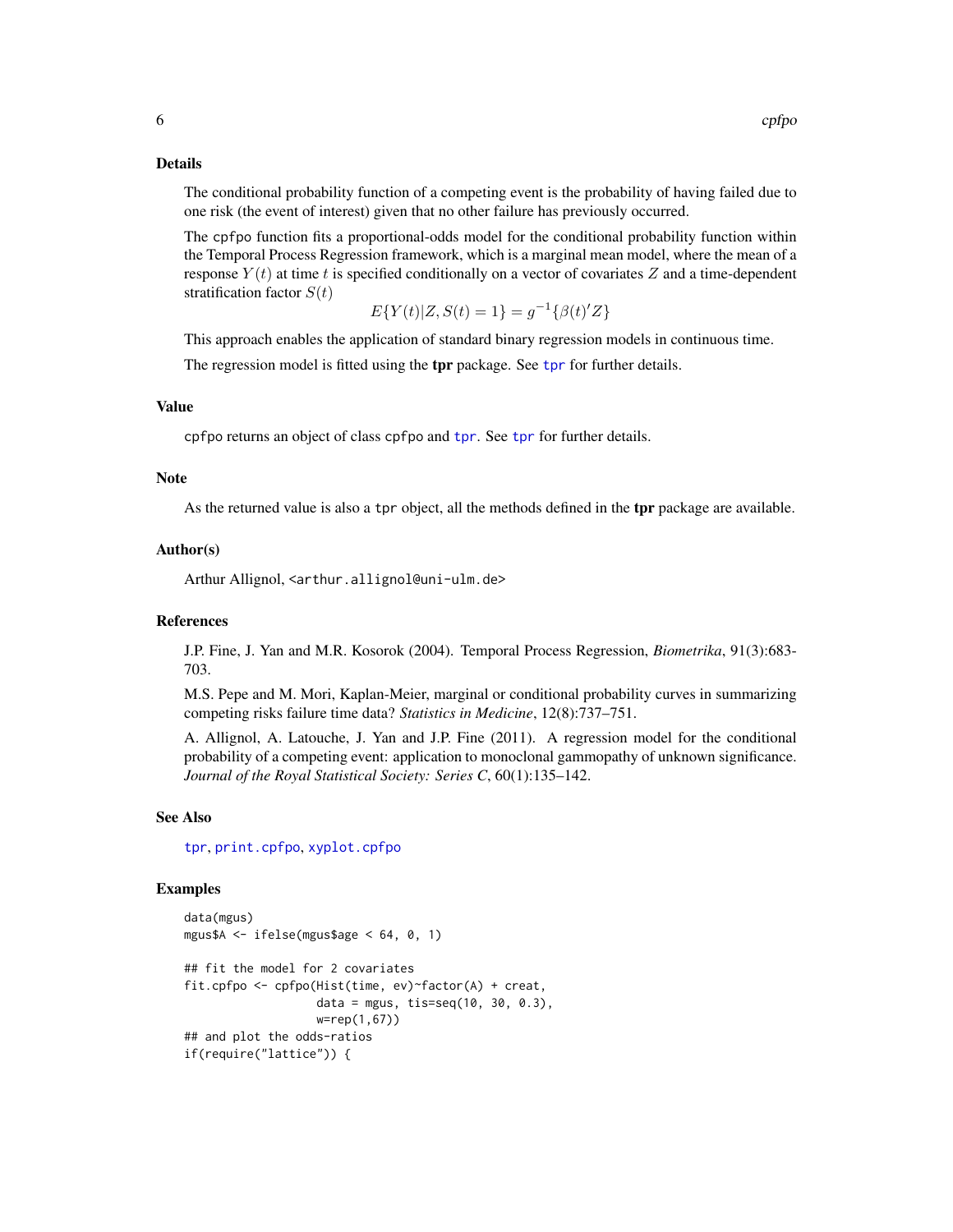#### <span id="page-5-0"></span>Details

The conditional probability function of a competing event is the probability of having failed due to one risk (the event of interest) given that no other failure has previously occurred.

The cpfpo function fits a proportional-odds model for the conditional probability function within the Temporal Process Regression framework, which is a marginal mean model, where the mean of a response  $Y(t)$  at time t is specified conditionally on a vector of covariates Z and a time-dependent stratification factor  $S(t)$ 

$$
E\{Y(t)|Z, S(t) = 1\} = g^{-1}\{\beta(t)'Z\}
$$

This approach enables the application of standard binary regression models in continuous time.

The regression model is fitted using the [tpr](#page-0-0) package. See tpr for further details.

#### Value

cpfpo returns an object of class cpfpo and [tpr](#page-0-0). See [tpr](#page-0-0) for further details.

#### Note

As the returned value is also a tpr object, all the methods defined in the tpr package are available.

#### Author(s)

Arthur Allignol, <arthur.allignol@uni-ulm.de>

#### References

J.P. Fine, J. Yan and M.R. Kosorok (2004). Temporal Process Regression, *Biometrika*, 91(3):683- 703.

M.S. Pepe and M. Mori, Kaplan-Meier, marginal or conditional probability curves in summarizing competing risks failure time data? *Statistics in Medicine*, 12(8):737–751.

A. Allignol, A. Latouche, J. Yan and J.P. Fine (2011). A regression model for the conditional probability of a competing event: application to monoclonal gammopathy of unknown significance. *Journal of the Royal Statistical Society: Series C*, 60(1):135–142.

## See Also

[tpr](#page-0-0), [print.cpfpo](#page-11-1), [xyplot.cpfpo](#page-15-1)

#### Examples

```
data(mgus)
mgus$A <- ifelse(mgus$age < 64, 0, 1)
## fit the model for 2 covariates
fit.cpfpo <- cpfpo(Hist(time, ev)~factor(A) + creat,
                  data = mgus, tis=seq(10, 30, 0.3),
                   w=rep(1,67))
## and plot the odds-ratios
if(require("lattice")) {
```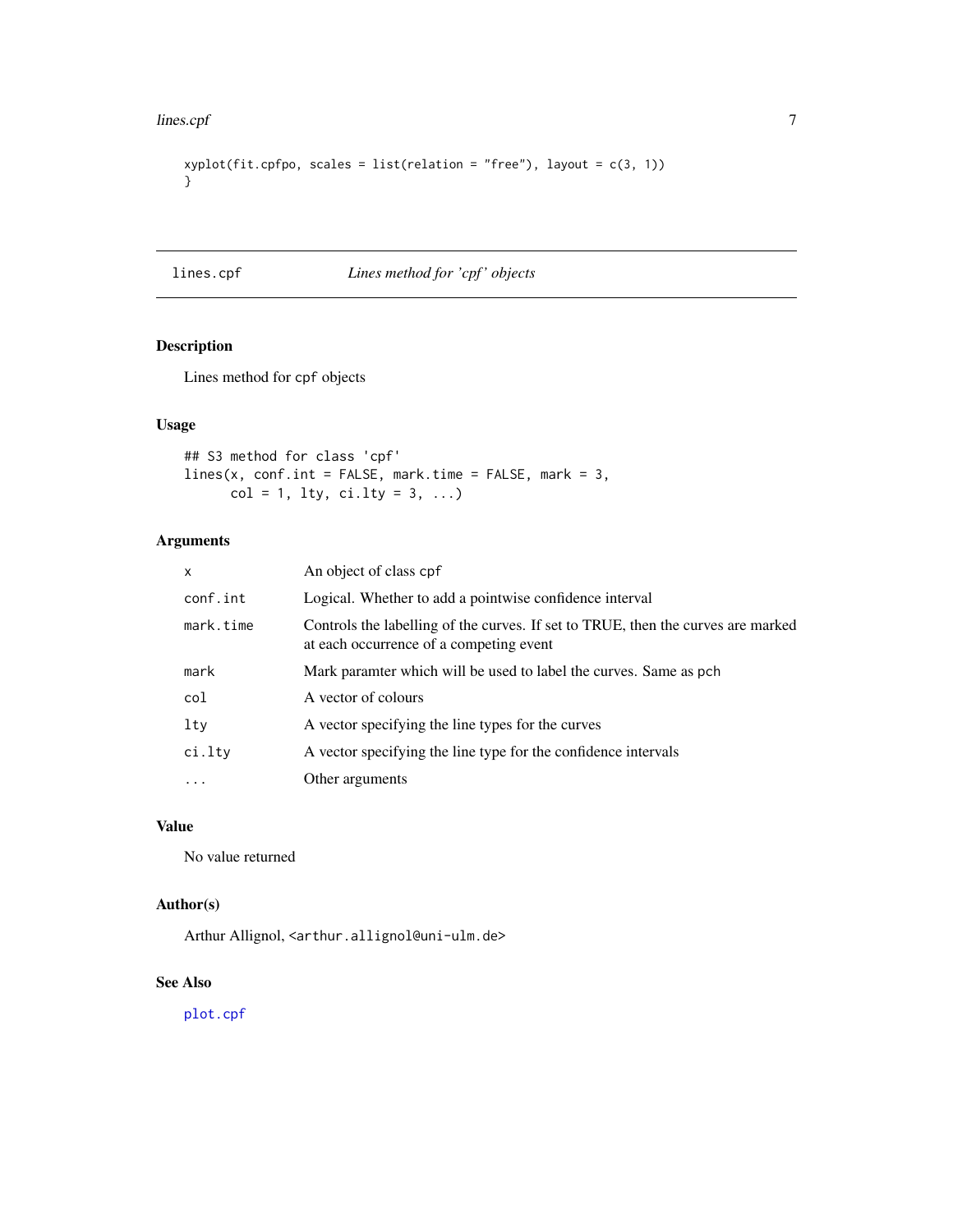#### <span id="page-6-0"></span>lines.cpf 7

```
xyplot(fit.cpfpo, scales = list(relation = "free"), layout = c(3, 1))}
```
## lines.cpf *Lines method for 'cpf ' objects*

## Description

Lines method for cpf objects

## Usage

## S3 method for class 'cpf' lines(x, conf.int = FALSE, mark.time = FALSE, mark = 3,  $col = 1, 1ty, 1ty = 3, ...$ 

## Arguments

| $\mathsf{x}$ | An object of class cpf                                                                                                      |
|--------------|-----------------------------------------------------------------------------------------------------------------------------|
| conf.int     | Logical. Whether to add a pointwise confidence interval                                                                     |
| mark.time    | Controls the labelling of the curves. If set to TRUE, then the curves are marked<br>at each occurrence of a competing event |
| mark         | Mark paramter which will be used to label the curves. Same as pch                                                           |
| col          | A vector of colours                                                                                                         |
| lty          | A vector specifying the line types for the curves                                                                           |
| ci.lty       | A vector specifying the line type for the confidence intervals                                                              |
|              | Other arguments                                                                                                             |

## Value

No value returned

## Author(s)

Arthur Allignol, <arthur.allignol@uni-ulm.de>

## See Also

[plot.cpf](#page-8-1)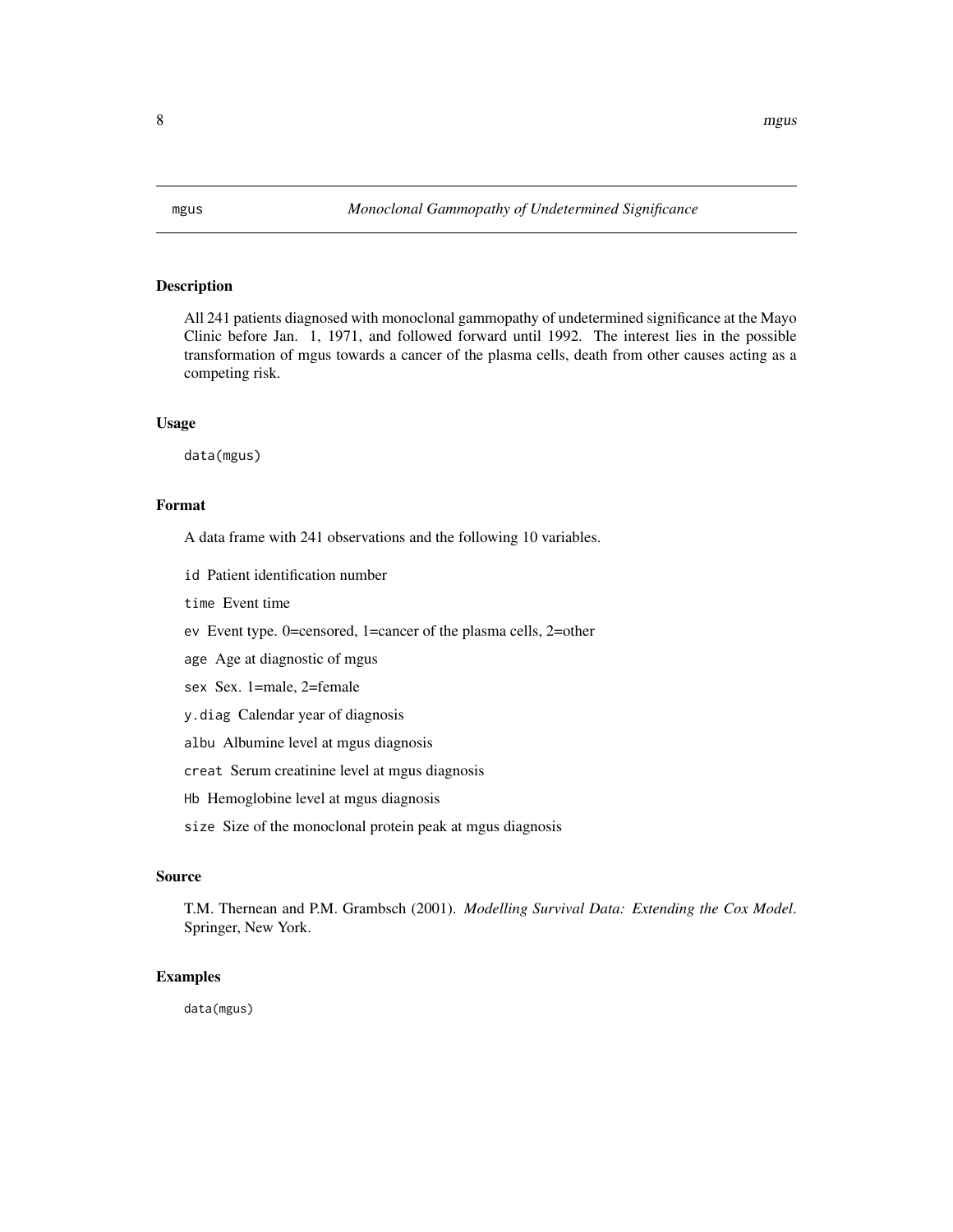<span id="page-7-0"></span>

All 241 patients diagnosed with monoclonal gammopathy of undetermined significance at the Mayo Clinic before Jan. 1, 1971, and followed forward until 1992. The interest lies in the possible transformation of mgus towards a cancer of the plasma cells, death from other causes acting as a competing risk.

#### Usage

data(mgus)

## Format

A data frame with 241 observations and the following 10 variables.

id Patient identification number

time Event time

ev Event type. 0=censored, 1=cancer of the plasma cells, 2=other

age Age at diagnostic of mgus

sex Sex. 1=male, 2=female

y.diag Calendar year of diagnosis

albu Albumine level at mgus diagnosis

creat Serum creatinine level at mgus diagnosis

Hb Hemoglobine level at mgus diagnosis

size Size of the monoclonal protein peak at mgus diagnosis

#### Source

T.M. Thernean and P.M. Grambsch (2001). *Modelling Survival Data: Extending the Cox Model*. Springer, New York.

#### Examples

data(mgus)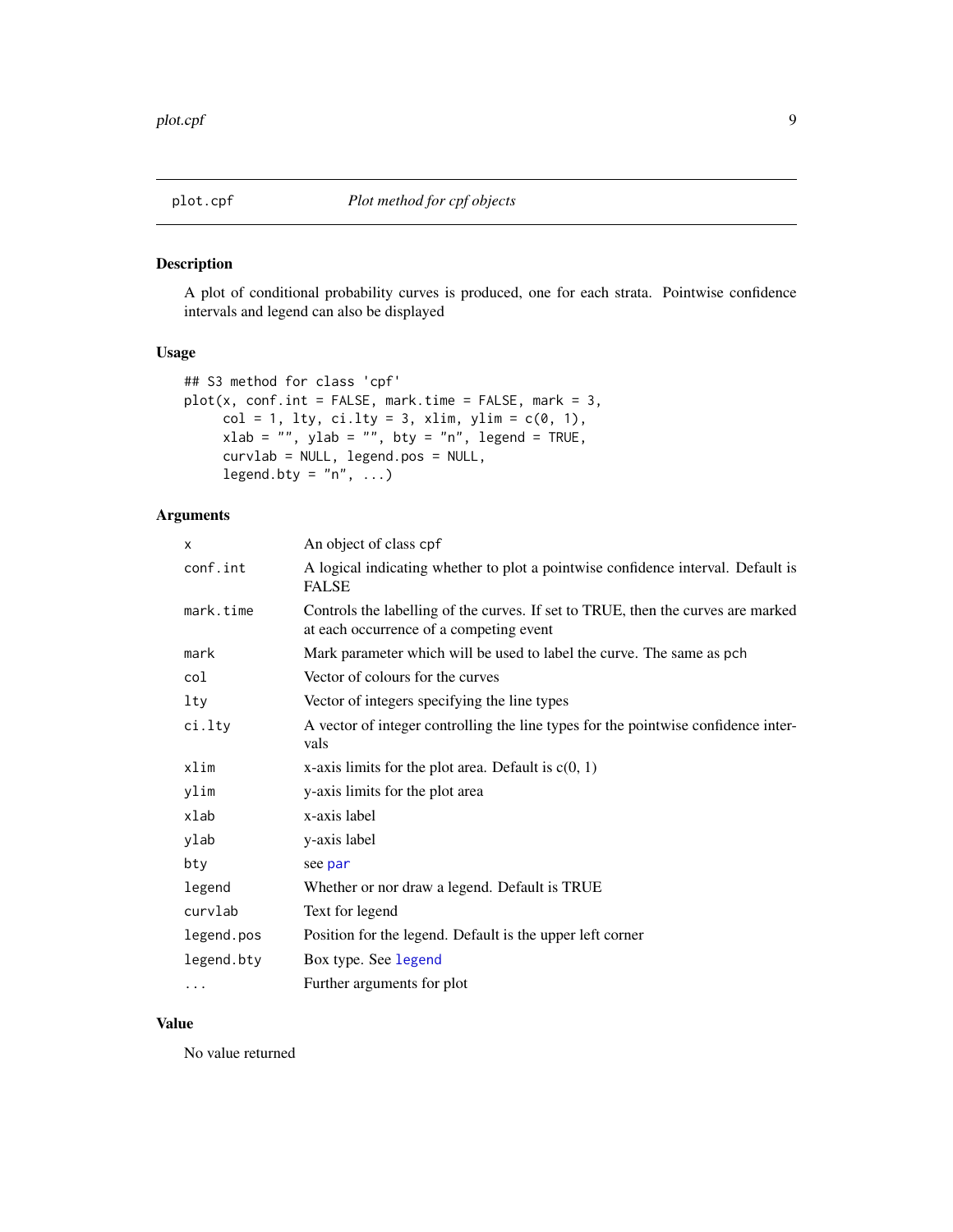<span id="page-8-1"></span><span id="page-8-0"></span>

A plot of conditional probability curves is produced, one for each strata. Pointwise confidence intervals and legend can also be displayed

## Usage

```
## S3 method for class 'cpf'
plot(x, conf.int = FALSE, mark.time = FALSE, mark = 3,col = 1, lty, ci.lty = 3, xlim, ylim = c(0, 1),
     xlab = "", ylab = "", bty = "n", legend = TRUE,
     curvlab = NULL, legend.pos = NULL,
     legend.bty = "n", ...)
```
## Arguments

| X          | An object of class cpf                                                                                                      |
|------------|-----------------------------------------------------------------------------------------------------------------------------|
| conf.int   | A logical indicating whether to plot a pointwise confidence interval. Default is<br><b>FALSE</b>                            |
| mark.time  | Controls the labelling of the curves. If set to TRUE, then the curves are marked<br>at each occurrence of a competing event |
| mark       | Mark parameter which will be used to label the curve. The same as pch                                                       |
| col        | Vector of colours for the curves                                                                                            |
| lty        | Vector of integers specifying the line types                                                                                |
| ci.lty     | A vector of integer controlling the line types for the pointwise confidence inter-<br>vals                                  |
| xlim       | x-axis limits for the plot area. Default is $c(0, 1)$                                                                       |
| ylim       | y-axis limits for the plot area                                                                                             |
| xlab       | x-axis label                                                                                                                |
| ylab       | y-axis label                                                                                                                |
| bty        | see par                                                                                                                     |
| legend     | Whether or nor draw a legend. Default is TRUE                                                                               |
| curvlab    | Text for legend                                                                                                             |
| legend.pos | Position for the legend. Default is the upper left corner                                                                   |
| legend.bty | Box type. See legend                                                                                                        |
| $\cdots$   | Further arguments for plot                                                                                                  |
|            |                                                                                                                             |

#### Value

No value returned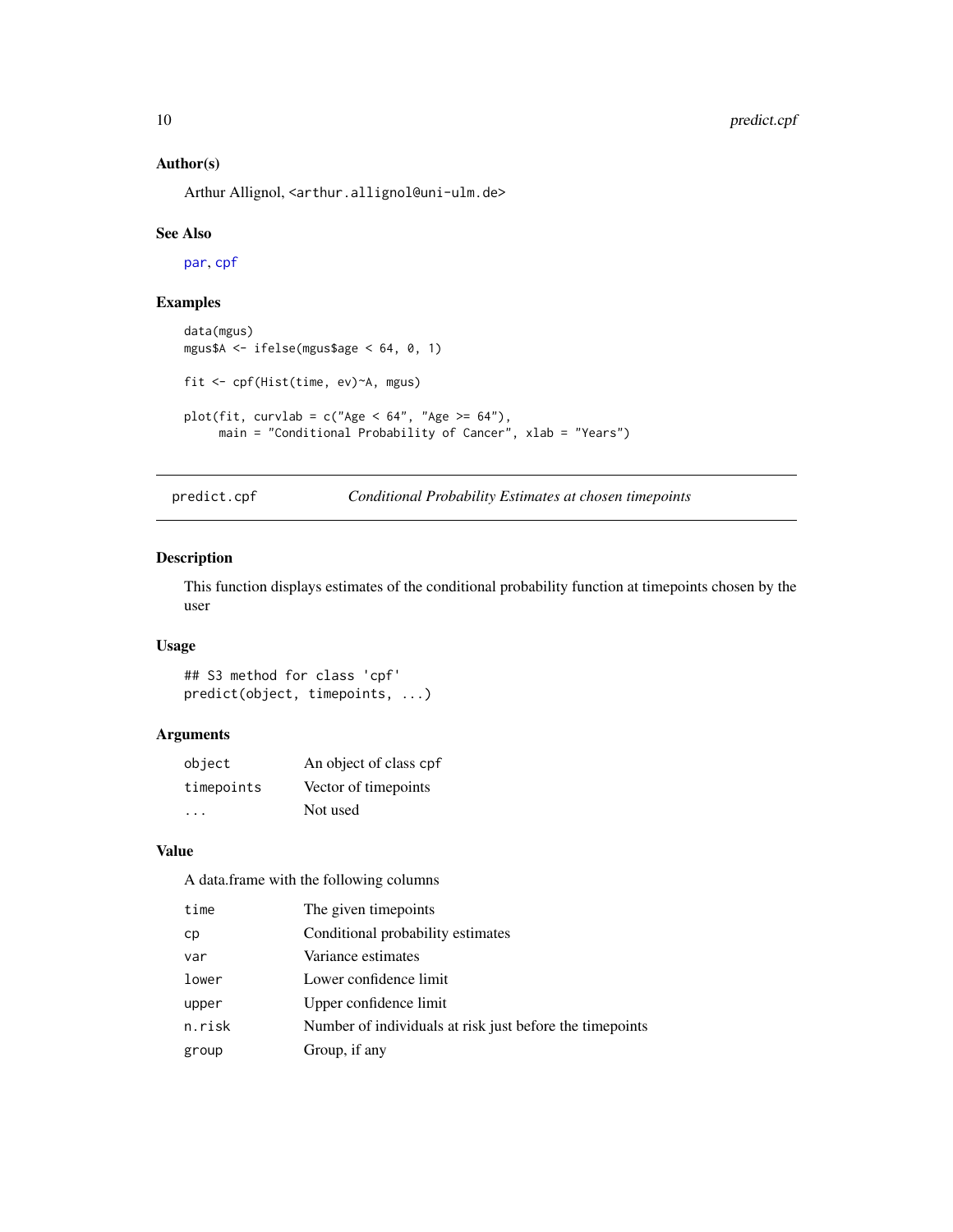#### <span id="page-9-0"></span>Author(s)

Arthur Allignol, <arthur.allignol@uni-ulm.de>

#### See Also

[par](#page-0-0), [cpf](#page-2-1)

## Examples

```
data(mgus)
mgus$A <- ifelse(mgus$age < 64, 0, 1)
fit <- cpf(Hist(time, ev)~A, mgus)
plot(fit, curvlab = c("Age < 64", "Age >= 64"),main = "Conditional Probability of Cancer", xlab = "Years")
```
predict.cpf *Conditional Probability Estimates at chosen timepoints*

#### Description

This function displays estimates of the conditional probability function at timepoints chosen by the user

#### Usage

```
## S3 method for class 'cpf'
predict(object, timepoints, ...)
```
## Arguments

| object     | An object of class cpf |
|------------|------------------------|
| timepoints | Vector of timepoints   |
| .          | Not used               |

## Value

A data.frame with the following columns

| time   | The given timepoints                                      |
|--------|-----------------------------------------------------------|
| cр     | Conditional probability estimates                         |
| var    | Variance estimates                                        |
| lower  | Lower confidence limit                                    |
| upper  | Upper confidence limit                                    |
| n.risk | Number of individuals at risk just before the time points |
| group  | Group, if any                                             |
|        |                                                           |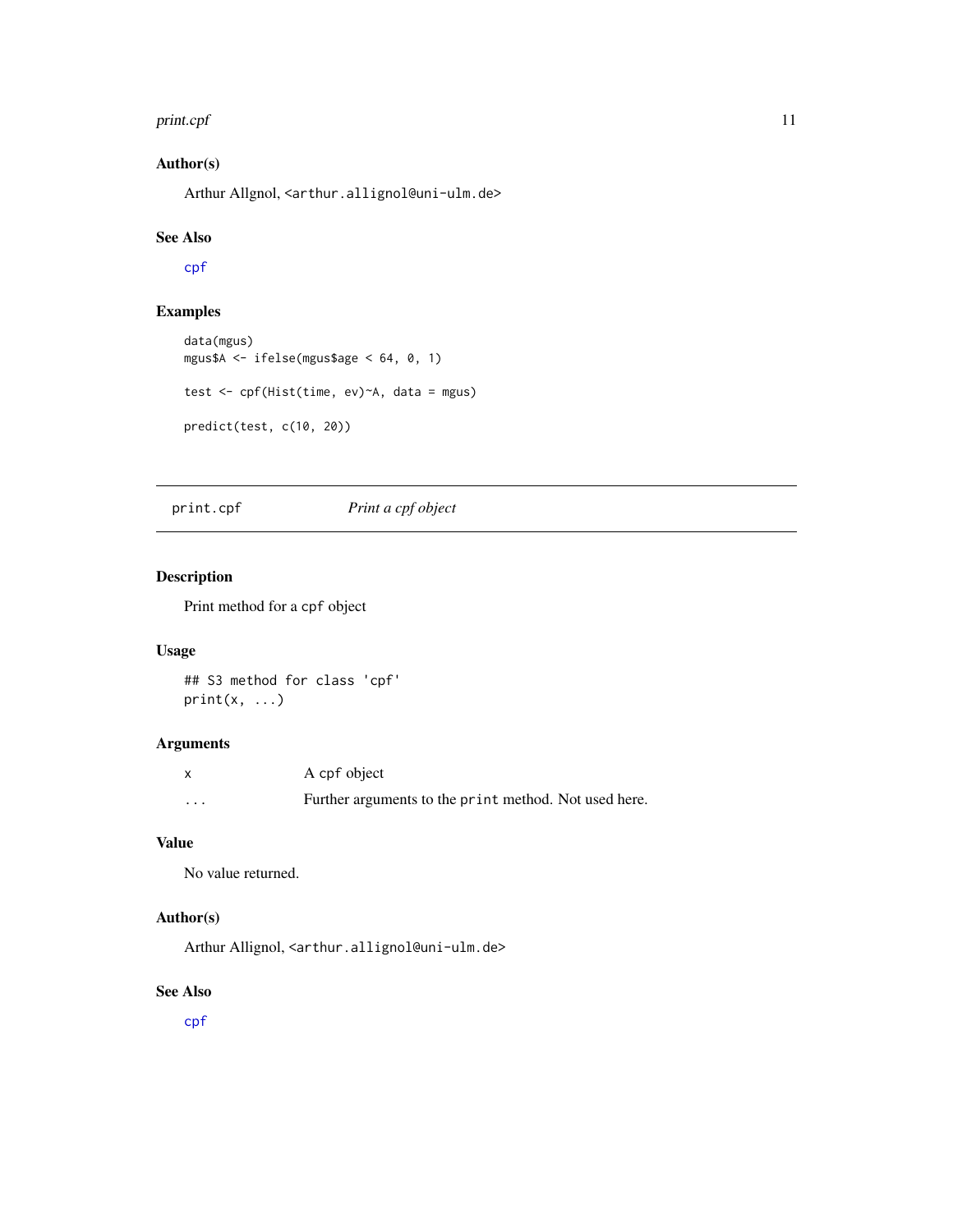#### <span id="page-10-0"></span>print.cpf 11

## Author(s)

Arthur Allgnol, <arthur.allignol@uni-ulm.de>

#### See Also

[cpf](#page-2-1)

## Examples

```
data(mgus)
mgus$A <- ifelse(mgus$age < 64, 0, 1)
test <- cpf(Hist(time, ev)~A, data = mgus)
predict(test, c(10, 20))
```
## <span id="page-10-1"></span>print.cpf *Print a cpf object*

## Description

Print method for a cpf object

## Usage

```
## S3 method for class 'cpf'
print(x, \ldots)
```
## Arguments

|          | A cpf object                                          |
|----------|-------------------------------------------------------|
| $\cdots$ | Further arguments to the print method. Not used here. |

## Value

No value returned.

## Author(s)

Arthur Allignol, <arthur.allignol@uni-ulm.de>

## See Also

[cpf](#page-2-1)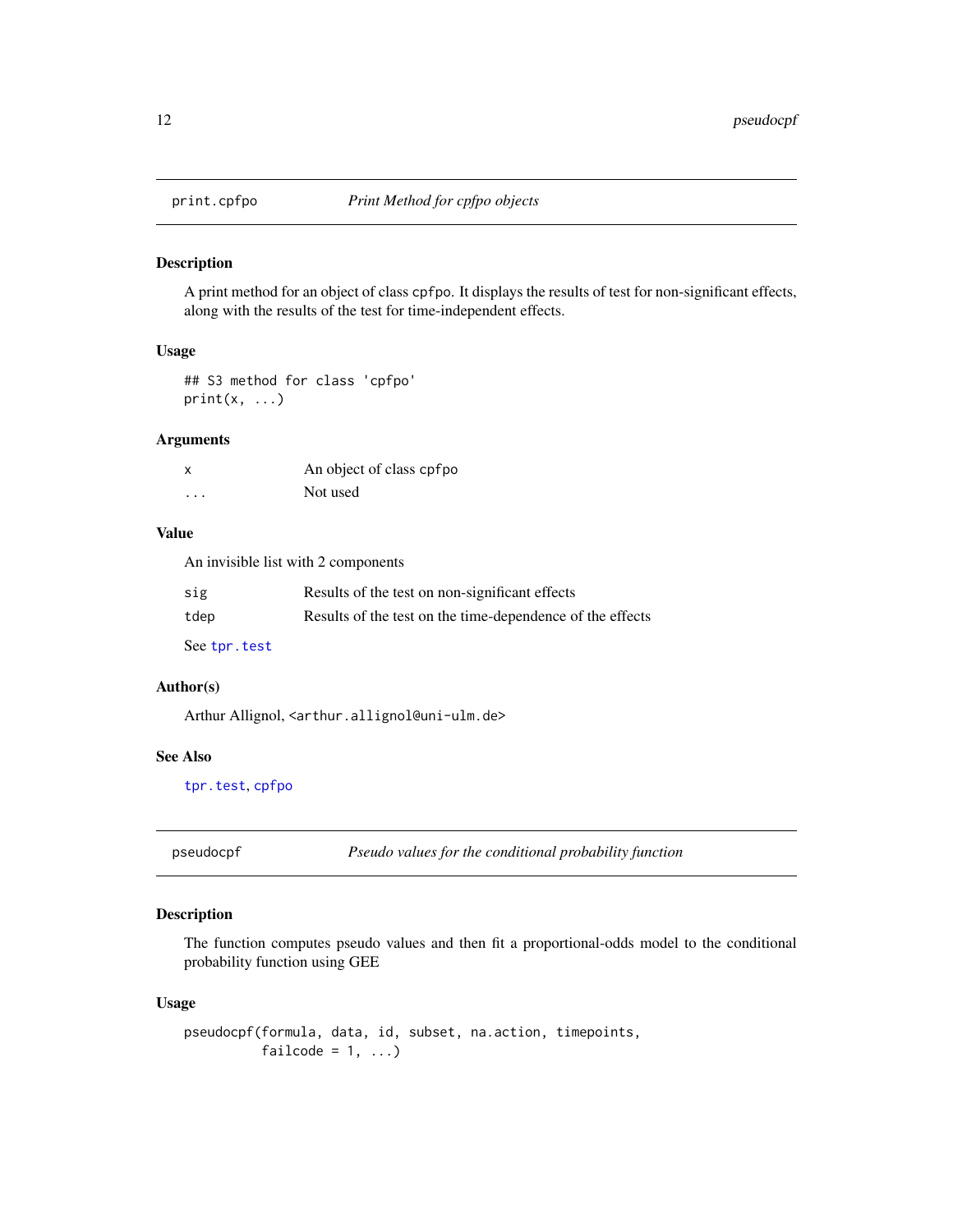<span id="page-11-1"></span><span id="page-11-0"></span>

A print method for an object of class cpfpo. It displays the results of test for non-significant effects, along with the results of the test for time-independent effects.

#### Usage

## S3 method for class 'cpfpo'  $print(x, \ldots)$ 

## Arguments

| X | An object of class cpfpo |
|---|--------------------------|
| . | Not used                 |

#### Value

An invisible list with 2 components

| sig           | Results of the test on non-significant effects            |
|---------------|-----------------------------------------------------------|
| tdep          | Results of the test on the time-dependence of the effects |
| See tpr. test |                                                           |

#### Author(s)

Arthur Allignol, <arthur.allignol@uni-ulm.de>

## See Also

[tpr.test](#page-0-0), [cpfpo](#page-4-1)

<span id="page-11-2"></span>pseudocpf *Pseudo values for the conditional probability function*

## Description

The function computes pseudo values and then fit a proportional-odds model to the conditional probability function using GEE

## Usage

```
pseudocpf(formula, data, id, subset, na.action, timepoints,
         failcode = 1, ...)
```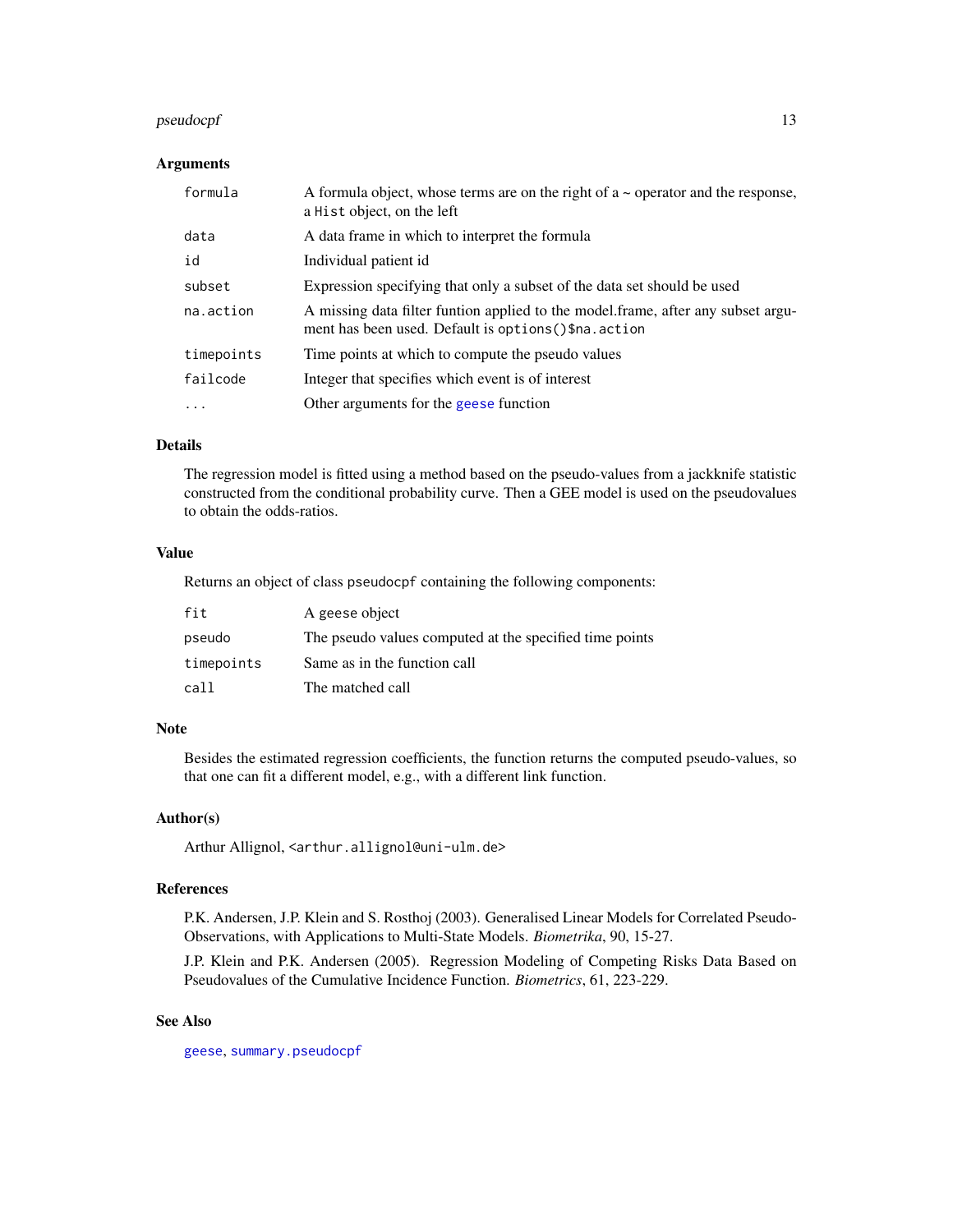## <span id="page-12-0"></span>pseudocpf 13

#### Arguments

| formula    | A formula object, whose terms are on the right of $a \sim$ operator and the response,<br>a Hist object, on the left                        |
|------------|--------------------------------------------------------------------------------------------------------------------------------------------|
| data       | A data frame in which to interpret the formula                                                                                             |
| id         | Individual patient id                                                                                                                      |
| subset     | Expression specifying that only a subset of the data set should be used                                                                    |
| na.action  | A missing data filter funtion applied to the model frame, after any subset argu-<br>ment has been used. Default is options () \$na. action |
| timepoints | Time points at which to compute the pseudo values                                                                                          |
| failcode   | Integer that specifies which event is of interest                                                                                          |
| $\ddotsc$  | Other arguments for the geese function                                                                                                     |

## Details

The regression model is fitted using a method based on the pseudo-values from a jackknife statistic constructed from the conditional probability curve. Then a GEE model is used on the pseudovalues to obtain the odds-ratios.

## Value

Returns an object of class pseudocpf containing the following components:

| fit        | A geese object                                          |
|------------|---------------------------------------------------------|
| pseudo     | The pseudo values computed at the specified time points |
| timepoints | Same as in the function call                            |
| call       | The matched call                                        |

## Note

Besides the estimated regression coefficients, the function returns the computed pseudo-values, so that one can fit a different model, e.g., with a different link function.

## Author(s)

Arthur Allignol, <arthur.allignol@uni-ulm.de>

#### References

P.K. Andersen, J.P. Klein and S. Rosthoj (2003). Generalised Linear Models for Correlated Pseudo-Observations, with Applications to Multi-State Models. *Biometrika*, 90, 15-27.

J.P. Klein and P.K. Andersen (2005). Regression Modeling of Competing Risks Data Based on Pseudovalues of the Cumulative Incidence Function. *Biometrics*, 61, 223-229.

#### See Also

[geese](#page-0-0), [summary.pseudocpf](#page-14-1)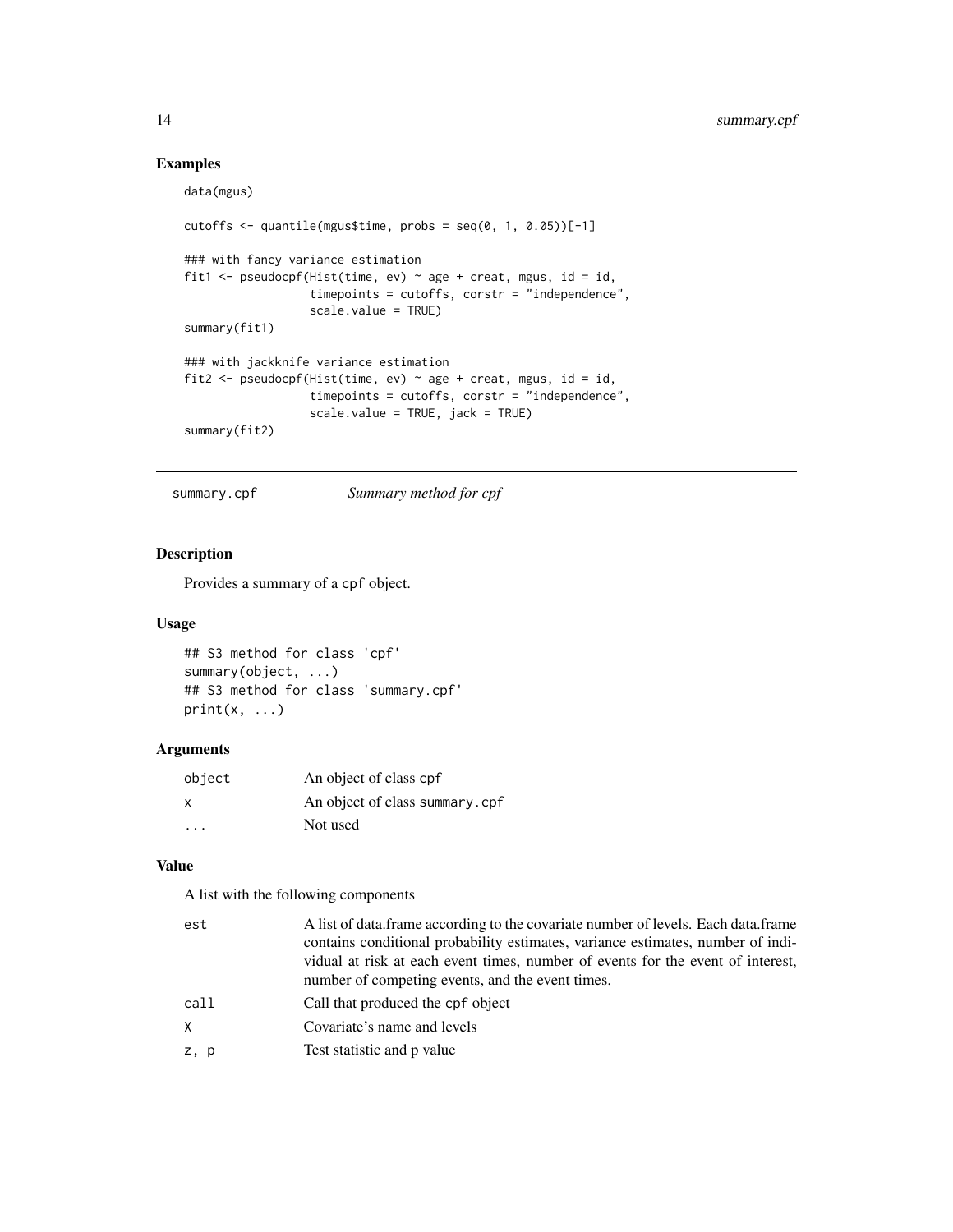## Examples

```
data(mgus)
cutoffs \leq quantile(mgus$time, probs = seq(0, 1, 0.05))[-1]
### with fancy variance estimation
fit1 <- pseudocpf(Hist(time, ev) \sim age + creat, mgus, id = id,
                  timepoints = cutoffs, corstr = "independence",
                  scale.value = TRUE)
summary(fit1)
### with jackknife variance estimation
fit2 <- pseudocpf(Hist(time, ev) ~ age + creat, mgus, id = id,
                  timepoints = cutoffs, corstr = "independence",
                  scale.value = TRUE, jack = TRUE)
summary(fit2)
```
<span id="page-13-1"></span>summary.cpf *Summary method for cpf*

#### Description

Provides a summary of a cpf object.

### Usage

```
## S3 method for class 'cpf'
summary(object, ...)
## S3 method for class 'summary.cpf'
print(x, \ldots)
```
#### Arguments

| object       | An object of class cpf         |
|--------------|--------------------------------|
| $\mathsf{x}$ | An object of class summary.cpf |
|              | Not used                       |

## Value

A list with the following components

| est  | A list of data. frame according to the covariate number of levels. Each data. frame |
|------|-------------------------------------------------------------------------------------|
|      | contains conditional probability estimates, variance estimates, number of indi-     |
|      | vidual at risk at each event times, number of events for the event of interest,     |
|      | number of competing events, and the event times.                                    |
| call | Call that produced the cpf object                                                   |
| X    | Covariate's name and levels                                                         |
| z, p | Test statistic and p value                                                          |
|      |                                                                                     |

<span id="page-13-0"></span>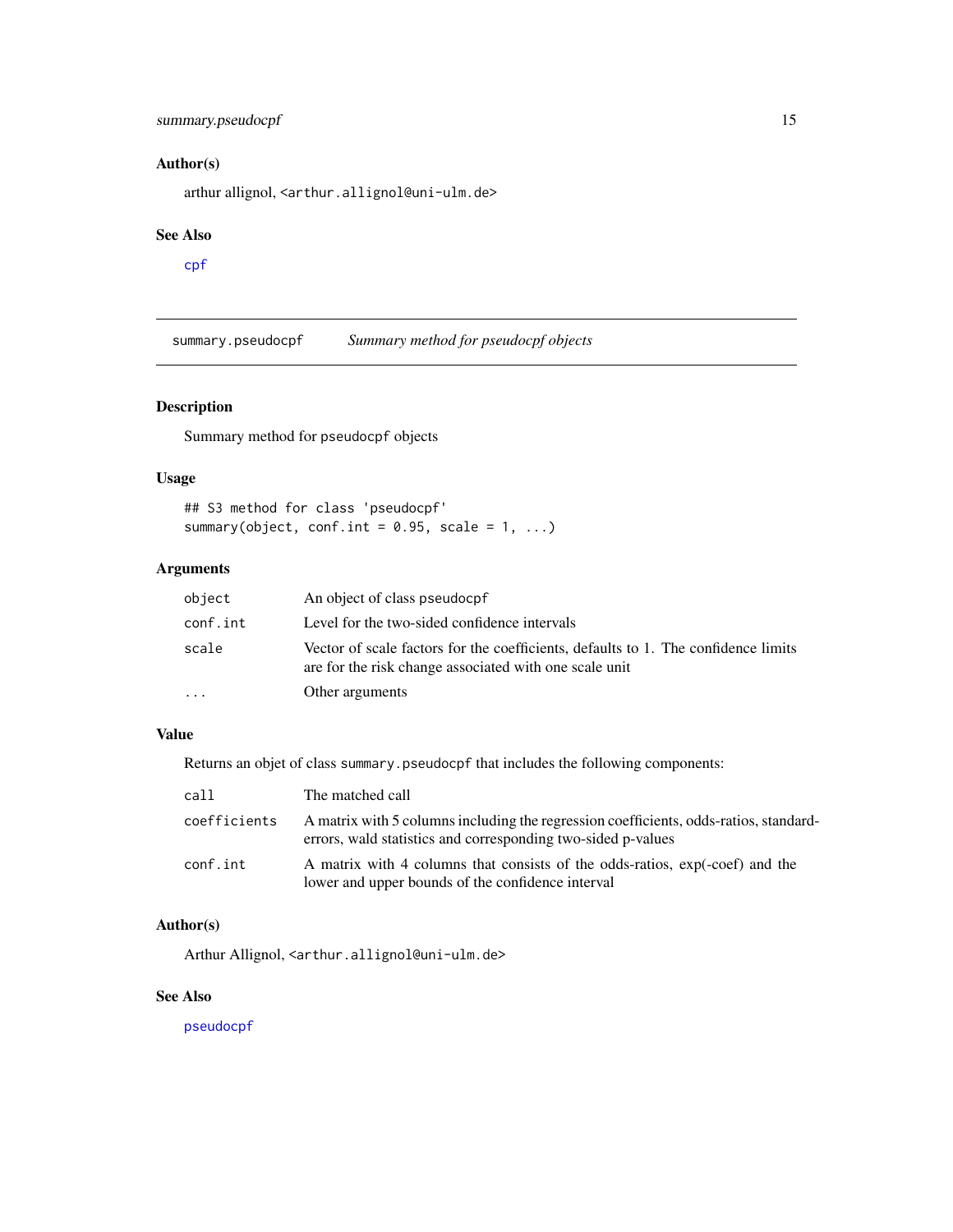## <span id="page-14-0"></span>summary.pseudocpf 15

## Author(s)

arthur allignol, <arthur.allignol@uni-ulm.de>

#### See Also

[cpf](#page-2-1)

<span id="page-14-1"></span>summary.pseudocpf *Summary method for pseudocpf objects*

## Description

Summary method for pseudocpf objects

## Usage

## S3 method for class 'pseudocpf' summary(object, conf.int =  $0.95$ , scale =  $1, ...$ )

## Arguments

| object   | An object of class pseudocpf                                                                                                                 |
|----------|----------------------------------------------------------------------------------------------------------------------------------------------|
| conf.int | Level for the two-sided confidence intervals                                                                                                 |
| scale    | Vector of scale factors for the coefficients, defaults to 1. The confidence limits<br>are for the risk change associated with one scale unit |
| $\cdots$ | Other arguments                                                                                                                              |

#### Value

Returns an objet of class summary.pseudocpf that includes the following components:

| call         | The matched call                                                                                                                                      |
|--------------|-------------------------------------------------------------------------------------------------------------------------------------------------------|
| coefficients | A matrix with 5 columns including the regression coefficients, odds-ratios, standard-<br>errors, wald statistics and corresponding two-sided p-values |
| conf.int     | A matrix with 4 columns that consists of the odds-ratios, $exp(-\text{coef})$ and the<br>lower and upper bounds of the confidence interval            |

## Author(s)

Arthur Allignol, <arthur.allignol@uni-ulm.de>

## See Also

[pseudocpf](#page-11-2)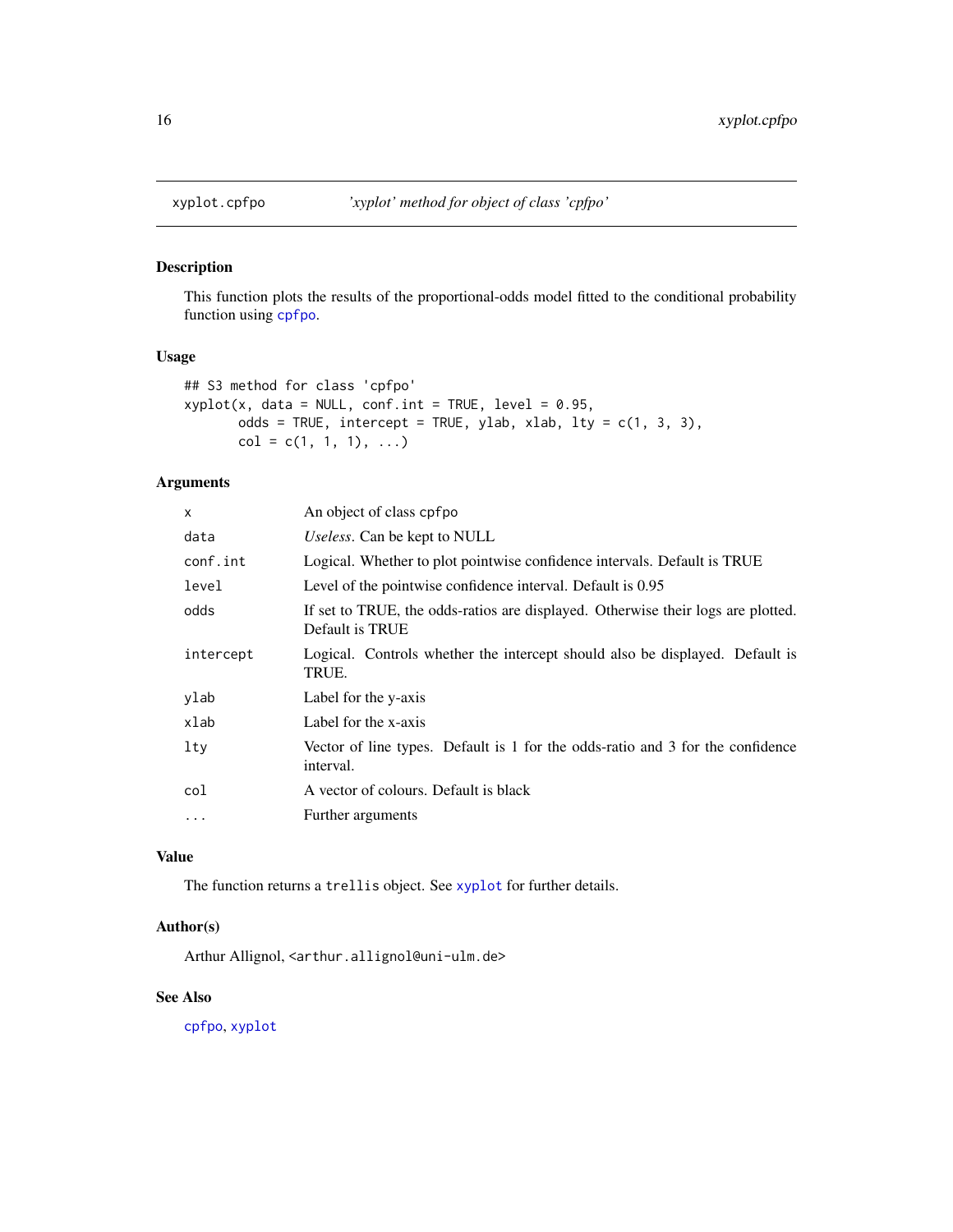<span id="page-15-1"></span><span id="page-15-0"></span>

This function plots the results of the proportional-odds model fitted to the conditional probability function using [cpfpo](#page-4-1).

#### Usage

```
## S3 method for class 'cpfpo'
xyplot(x, data = NULL, conf.int = TRUE, level = 0.95,odds = TRUE, intercept = TRUE, ylab, xlab, lty = c(1, 3, 3),
      col = c(1, 1, 1), ...
```
## Arguments

| x         | An object of class cpfpo                                                                            |
|-----------|-----------------------------------------------------------------------------------------------------|
| data      | Useless. Can be kept to NULL                                                                        |
| conf.int  | Logical. Whether to plot pointwise confidence intervals. Default is TRUE                            |
| level     | Level of the pointwise confidence interval. Default is 0.95                                         |
| odds      | If set to TRUE, the odds-ratios are displayed. Otherwise their logs are plotted.<br>Default is TRUE |
| intercept | Logical. Controls whether the intercept should also be displayed. Default is<br>TRUE.               |
| ylab      | Label for the y-axis                                                                                |
| xlab      | Label for the x-axis                                                                                |
| lty       | Vector of line types. Default is 1 for the odds-ratio and 3 for the confidence<br>interval.         |
| col       | A vector of colours. Default is black                                                               |
| $\ddotsc$ | Further arguments                                                                                   |

## Value

The function returns a trellis object. See [xyplot](#page-0-0) for further details.

#### Author(s)

Arthur Allignol, <arthur.allignol@uni-ulm.de>

## See Also

[cpfpo](#page-4-1), [xyplot](#page-0-0)